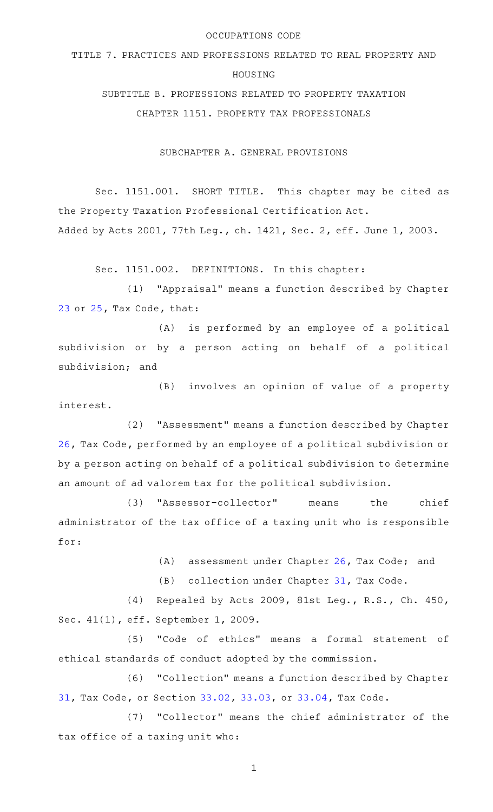#### OCCUPATIONS CODE

# TITLE 7. PRACTICES AND PROFESSIONS RELATED TO REAL PROPERTY AND HOUSING SUBTITLE B. PROFESSIONS RELATED TO PROPERTY TAXATION

CHAPTER 1151. PROPERTY TAX PROFESSIONALS

SUBCHAPTER A. GENERAL PROVISIONS

Sec. 1151.001. SHORT TITLE. This chapter may be cited as the Property Taxation Professional Certification Act. Added by Acts 2001, 77th Leg., ch. 1421, Sec. 2, eff. June 1, 2003.

Sec. 1151.002. DEFINITIONS. In this chapter:

(1) "Appraisal" means a function described by Chapter [23](http://www.statutes.legis.state.tx.us/GetStatute.aspx?Code=TX&Value=23) or [25](http://www.statutes.legis.state.tx.us/GetStatute.aspx?Code=TX&Value=25), Tax Code, that:

(A) is performed by an employee of a political subdivision or by a person acting on behalf of a political subdivision; and

(B) involves an opinion of value of a property interest.

(2) "Assessment" means a function described by Chapter [26](http://www.statutes.legis.state.tx.us/GetStatute.aspx?Code=TX&Value=26), Tax Code, performed by an employee of a political subdivision or by a person acting on behalf of a political subdivision to determine an amount of ad valorem tax for the political subdivision.

(3) "Assessor-collector" means the chief administrator of the tax office of a taxing unit who is responsible for:

(A) assessment under Chapter [26,](http://www.statutes.legis.state.tx.us/GetStatute.aspx?Code=TX&Value=26) Tax Code; and

(B) collection under Chapter [31,](http://www.statutes.legis.state.tx.us/GetStatute.aspx?Code=TX&Value=31) Tax Code.

(4) Repealed by Acts 2009, 81st Leg., R.S., Ch. 450, Sec. 41(1), eff. September 1, 2009.

(5) "Code of ethics" means a formal statement of ethical standards of conduct adopted by the commission.

(6) "Collection" means a function described by Chapter [31](http://www.statutes.legis.state.tx.us/GetStatute.aspx?Code=TX&Value=31), Tax Code, or Section [33.02,](http://www.statutes.legis.state.tx.us/GetStatute.aspx?Code=TX&Value=33.02) [33.03](http://www.statutes.legis.state.tx.us/GetStatute.aspx?Code=TX&Value=33.03), or [33.04,](http://www.statutes.legis.state.tx.us/GetStatute.aspx?Code=TX&Value=33.04) Tax Code.

(7) "Collector" means the chief administrator of the tax office of a taxing unit who: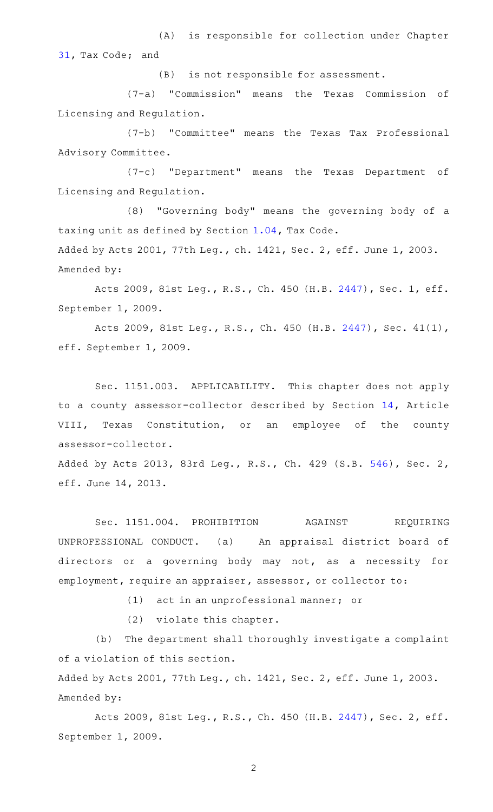(A) is responsible for collection under Chapter [31](http://www.statutes.legis.state.tx.us/GetStatute.aspx?Code=TX&Value=31), Tax Code; and

 $(B)$  is not responsible for assessment.

(7-a) "Commission" means the Texas Commission of Licensing and Regulation.

(7-b) "Committee" means the Texas Tax Professional Advisory Committee.

(7-c) "Department" means the Texas Department of Licensing and Regulation.

 $(8)$  "Governing body" means the governing body of a taxing unit as defined by Section [1.04,](http://www.statutes.legis.state.tx.us/GetStatute.aspx?Code=TX&Value=1.04) Tax Code.

Added by Acts 2001, 77th Leg., ch. 1421, Sec. 2, eff. June 1, 2003. Amended by:

Acts 2009, 81st Leg., R.S., Ch. 450 (H.B. [2447](http://www.legis.state.tx.us/tlodocs/81R/billtext/html/HB02447F.HTM)), Sec. 1, eff. September 1, 2009.

Acts 2009, 81st Leg., R.S., Ch. 450 (H.B. [2447\)](http://www.legis.state.tx.us/tlodocs/81R/billtext/html/HB02447F.HTM), Sec. 41(1), eff. September 1, 2009.

Sec. 1151.003. APPLICABILITY. This chapter does not apply to a county assessor-collector described by Section [14,](http://www.statutes.legis.state.tx.us/GetStatute.aspx?Code=CN&Value=8.14) Article VIII, Texas Constitution, or an employee of the county assessor-collector.

Added by Acts 2013, 83rd Leg., R.S., Ch. 429 (S.B. [546](http://www.legis.state.tx.us/tlodocs/83R/billtext/html/SB00546F.HTM)), Sec. 2, eff. June 14, 2013.

Sec. 1151.004. PROHIBITION AGAINST REQUIRING UNPROFESSIONAL CONDUCT. (a) An appraisal district board of directors or a governing body may not, as a necessity for employment, require an appraiser, assessor, or collector to:

(1) act in an unprofessional manner; or

(2) violate this chapter.

(b) The department shall thoroughly investigate a complaint of a violation of this section.

Added by Acts 2001, 77th Leg., ch. 1421, Sec. 2, eff. June 1, 2003. Amended by:

Acts 2009, 81st Leg., R.S., Ch. 450 (H.B. [2447](http://www.legis.state.tx.us/tlodocs/81R/billtext/html/HB02447F.HTM)), Sec. 2, eff. September 1, 2009.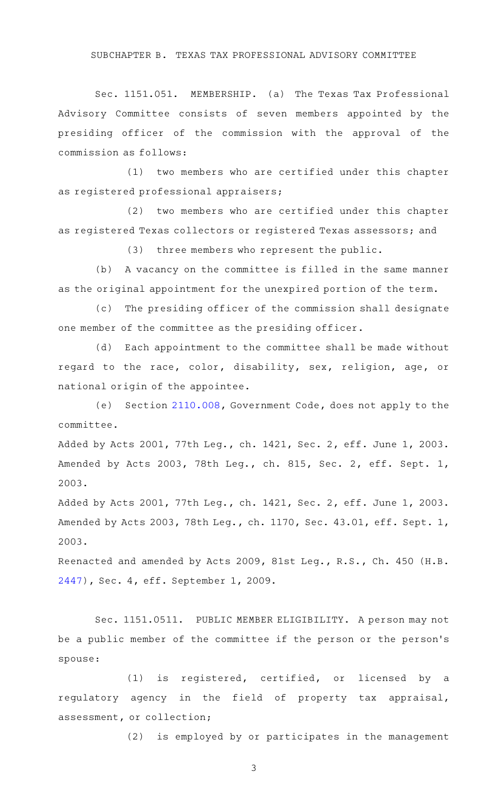## SUBCHAPTER B. TEXAS TAX PROFESSIONAL ADVISORY COMMITTEE

Sec. 1151.051. MEMBERSHIP. (a) The Texas Tax Professional Advisory Committee consists of seven members appointed by the presiding officer of the commission with the approval of the commission as follows:

(1) two members who are certified under this chapter as registered professional appraisers;

 $(2)$  two members who are certified under this chapter as registered Texas collectors or registered Texas assessors; and

(3) three members who represent the public.

(b) A vacancy on the committee is filled in the same manner as the original appointment for the unexpired portion of the term.

(c) The presiding officer of the commission shall designate one member of the committee as the presiding officer.

(d) Each appointment to the committee shall be made without regard to the race, color, disability, sex, religion, age, or national origin of the appointee.

(e) Section [2110.008](http://www.statutes.legis.state.tx.us/GetStatute.aspx?Code=GV&Value=2110.008), Government Code, does not apply to the committee.

Added by Acts 2001, 77th Leg., ch. 1421, Sec. 2, eff. June 1, 2003. Amended by Acts 2003, 78th Leg., ch. 815, Sec. 2, eff. Sept. 1, 2003.

Added by Acts 2001, 77th Leg., ch. 1421, Sec. 2, eff. June 1, 2003. Amended by Acts 2003, 78th Leg., ch. 1170, Sec. 43.01, eff. Sept. 1, 2003.

Reenacted and amended by Acts 2009, 81st Leg., R.S., Ch. 450 (H.B. [2447](http://www.legis.state.tx.us/tlodocs/81R/billtext/html/HB02447F.HTM)), Sec. 4, eff. September 1, 2009.

Sec. 1151.0511. PUBLIC MEMBER ELIGIBILITY. A person may not be a public member of the committee if the person or the person 's spouse:

 $(1)$  is registered, certified, or licensed by a regulatory agency in the field of property tax appraisal, assessment, or collection;

(2) is employed by or participates in the management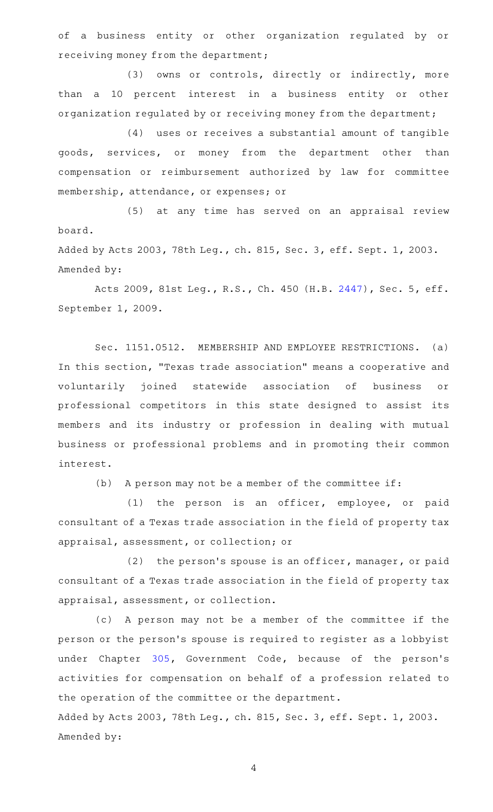of a business entity or other organization regulated by or receiving money from the department;

(3) owns or controls, directly or indirectly, more than a 10 percent interest in a business entity or other organization regulated by or receiving money from the department;

(4) uses or receives a substantial amount of tangible goods, services, or money from the department other than compensation or reimbursement authorized by law for committee membership, attendance, or expenses; or

(5) at any time has served on an appraisal review board.

Added by Acts 2003, 78th Leg., ch. 815, Sec. 3, eff. Sept. 1, 2003. Amended by:

Acts 2009, 81st Leg., R.S., Ch. 450 (H.B. [2447](http://www.legis.state.tx.us/tlodocs/81R/billtext/html/HB02447F.HTM)), Sec. 5, eff. September 1, 2009.

Sec. 1151.0512. MEMBERSHIP AND EMPLOYEE RESTRICTIONS. (a) In this section, "Texas trade association" means a cooperative and voluntarily joined statewide association of business or professional competitors in this state designed to assist its members and its industry or profession in dealing with mutual business or professional problems and in promoting their common interest.

(b) A person may not be a member of the committee if:

(1) the person is an officer, employee, or paid consultant of a Texas trade association in the field of property tax appraisal, assessment, or collection; or

 $(2)$  the person's spouse is an officer, manager, or paid consultant of a Texas trade association in the field of property tax appraisal, assessment, or collection.

(c) A person may not be a member of the committee if the person or the person 's spouse is required to register as a lobbyist under Chapter [305,](http://www.statutes.legis.state.tx.us/GetStatute.aspx?Code=GV&Value=305) Government Code, because of the person's activities for compensation on behalf of a profession related to the operation of the committee or the department. Added by Acts 2003, 78th Leg., ch. 815, Sec. 3, eff. Sept. 1, 2003. Amended by: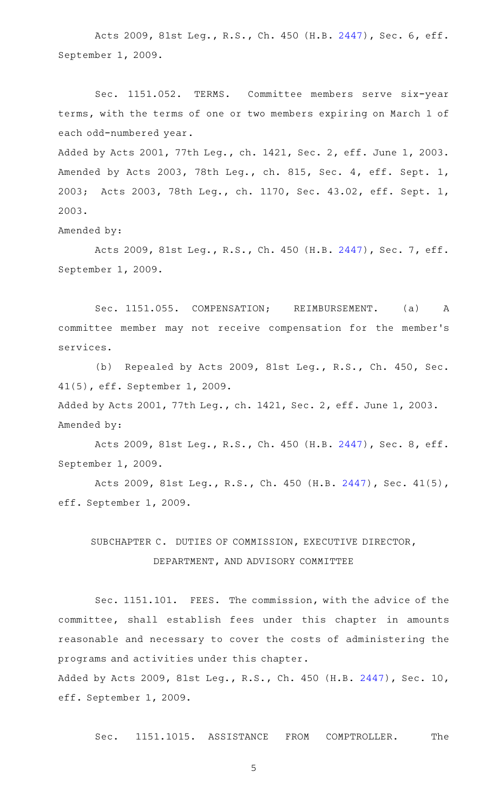Acts 2009, 81st Leg., R.S., Ch. 450 (H.B. [2447](http://www.legis.state.tx.us/tlodocs/81R/billtext/html/HB02447F.HTM)), Sec. 6, eff. September 1, 2009.

Sec. 1151.052. TERMS. Committee members serve six-year terms, with the terms of one or two members expiring on March 1 of each odd-numbered year.

Added by Acts 2001, 77th Leg., ch. 1421, Sec. 2, eff. June 1, 2003. Amended by Acts 2003, 78th Leg., ch. 815, Sec. 4, eff. Sept. 1, 2003; Acts 2003, 78th Leg., ch. 1170, Sec. 43.02, eff. Sept. 1, 2003.

Amended by:

Acts 2009, 81st Leg., R.S., Ch. 450 (H.B. [2447](http://www.legis.state.tx.us/tlodocs/81R/billtext/html/HB02447F.HTM)), Sec. 7, eff. September 1, 2009.

Sec. 1151.055. COMPENSATION; REIMBURSEMENT. (a) A committee member may not receive compensation for the member 's services.

(b) Repealed by Acts 2009, 81st Leg., R.S., Ch. 450, Sec. 41(5), eff. September 1, 2009.

Added by Acts 2001, 77th Leg., ch. 1421, Sec. 2, eff. June 1, 2003. Amended by:

Acts 2009, 81st Leg., R.S., Ch. 450 (H.B. [2447](http://www.legis.state.tx.us/tlodocs/81R/billtext/html/HB02447F.HTM)), Sec. 8, eff. September 1, 2009.

Acts 2009, 81st Leg., R.S., Ch. 450 (H.B. [2447\)](http://www.legis.state.tx.us/tlodocs/81R/billtext/html/HB02447F.HTM), Sec. 41(5), eff. September 1, 2009.

## SUBCHAPTER C. DUTIES OF COMMISSION, EXECUTIVE DIRECTOR, DEPARTMENT, AND ADVISORY COMMITTEE

Sec. 1151.101. FEES. The commission, with the advice of the committee, shall establish fees under this chapter in amounts reasonable and necessary to cover the costs of administering the programs and activities under this chapter.

Added by Acts 2009, 81st Leg., R.S., Ch. 450 (H.B. [2447\)](http://www.legis.state.tx.us/tlodocs/81R/billtext/html/HB02447F.HTM), Sec. 10, eff. September 1, 2009.

Sec. 1151.1015. ASSISTANCE FROM COMPTROLLER. The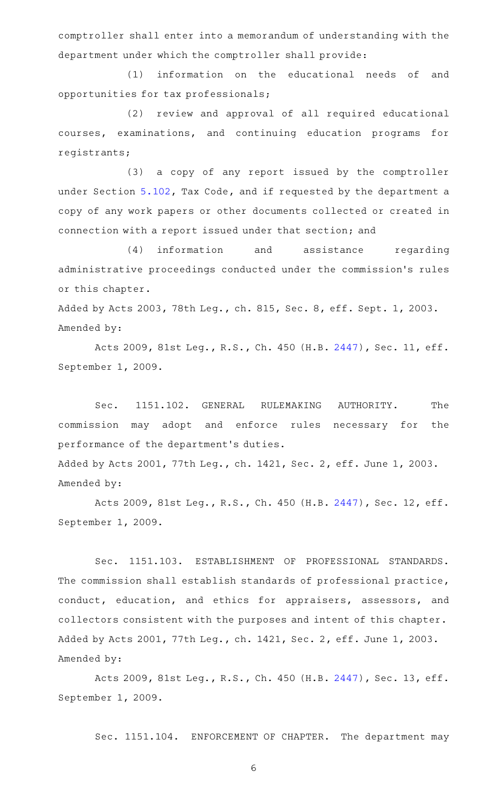comptroller shall enter into a memorandum of understanding with the department under which the comptroller shall provide:

(1) information on the educational needs of and opportunities for tax professionals;

(2) review and approval of all required educational courses, examinations, and continuing education programs for registrants;

(3) a copy of any report issued by the comptroller under Section [5.102,](http://www.statutes.legis.state.tx.us/GetStatute.aspx?Code=TX&Value=5.102) Tax Code, and if requested by the department a copy of any work papers or other documents collected or created in connection with a report issued under that section; and

(4) information and assistance regarding administrative proceedings conducted under the commission 's rules or this chapter.

Added by Acts 2003, 78th Leg., ch. 815, Sec. 8, eff. Sept. 1, 2003. Amended by:

Acts 2009, 81st Leg., R.S., Ch. 450 (H.B. [2447\)](http://www.legis.state.tx.us/tlodocs/81R/billtext/html/HB02447F.HTM), Sec. 11, eff. September 1, 2009.

Sec. 1151.102. GENERAL RULEMAKING AUTHORITY. The commission may adopt and enforce rules necessary for the performance of the department 's duties. Added by Acts 2001, 77th Leg., ch. 1421, Sec. 2, eff. June 1, 2003. Amended by:

Acts 2009, 81st Leg., R.S., Ch. 450 (H.B. [2447\)](http://www.legis.state.tx.us/tlodocs/81R/billtext/html/HB02447F.HTM), Sec. 12, eff. September 1, 2009.

Sec. 1151.103. ESTABLISHMENT OF PROFESSIONAL STANDARDS. The commission shall establish standards of professional practice, conduct, education, and ethics for appraisers, assessors, and collectors consistent with the purposes and intent of this chapter. Added by Acts 2001, 77th Leg., ch. 1421, Sec. 2, eff. June 1, 2003. Amended by:

Acts 2009, 81st Leg., R.S., Ch. 450 (H.B. [2447\)](http://www.legis.state.tx.us/tlodocs/81R/billtext/html/HB02447F.HTM), Sec. 13, eff. September 1, 2009.

Sec. 1151.104. ENFORCEMENT OF CHAPTER. The department may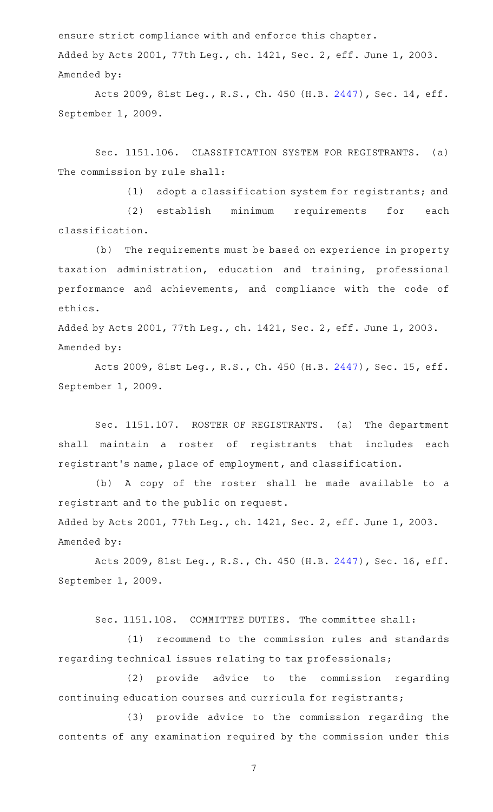ensure strict compliance with and enforce this chapter. Added by Acts 2001, 77th Leg., ch. 1421, Sec. 2, eff. June 1, 2003. Amended by:

Acts 2009, 81st Leg., R.S., Ch. 450 (H.B. [2447\)](http://www.legis.state.tx.us/tlodocs/81R/billtext/html/HB02447F.HTM), Sec. 14, eff. September 1, 2009.

Sec. 1151.106. CLASSIFICATION SYSTEM FOR REGISTRANTS. (a) The commission by rule shall:

(1) adopt a classification system for registrants; and

(2) establish minimum requirements for each classification.

(b) The requirements must be based on experience in property taxation administration, education and training, professional performance and achievements, and compliance with the code of ethics.

Added by Acts 2001, 77th Leg., ch. 1421, Sec. 2, eff. June 1, 2003. Amended by:

Acts 2009, 81st Leg., R.S., Ch. 450 (H.B. [2447\)](http://www.legis.state.tx.us/tlodocs/81R/billtext/html/HB02447F.HTM), Sec. 15, eff. September 1, 2009.

Sec. 1151.107. ROSTER OF REGISTRANTS. (a) The department shall maintain a roster of registrants that includes each registrant 's name, place of employment, and classification.

(b) A copy of the roster shall be made available to a registrant and to the public on request.

Added by Acts 2001, 77th Leg., ch. 1421, Sec. 2, eff. June 1, 2003. Amended by:

Acts 2009, 81st Leg., R.S., Ch. 450 (H.B. [2447\)](http://www.legis.state.tx.us/tlodocs/81R/billtext/html/HB02447F.HTM), Sec. 16, eff. September 1, 2009.

Sec. 1151.108. COMMITTEE DUTIES. The committee shall:

(1) recommend to the commission rules and standards regarding technical issues relating to tax professionals;

(2) provide advice to the commission regarding continuing education courses and curricula for registrants;

(3) provide advice to the commission regarding the contents of any examination required by the commission under this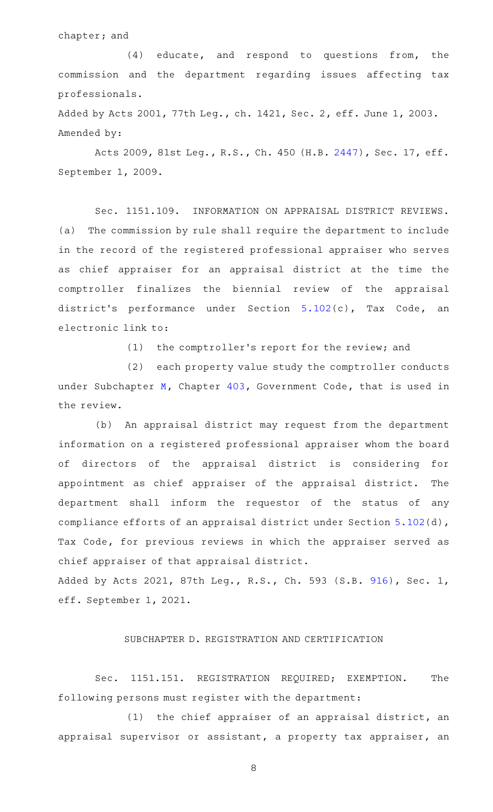#### chapter; and

 $(4)$  educate, and respond to questions from, the commission and the department regarding issues affecting tax professionals.

Added by Acts 2001, 77th Leg., ch. 1421, Sec. 2, eff. June 1, 2003. Amended by:

Acts 2009, 81st Leg., R.S., Ch. 450 (H.B. [2447\)](http://www.legis.state.tx.us/tlodocs/81R/billtext/html/HB02447F.HTM), Sec. 17, eff. September 1, 2009.

Sec. 1151.109. INFORMATION ON APPRAISAL DISTRICT REVIEWS. (a) The commission by rule shall require the department to include in the record of the registered professional appraiser who serves as chief appraiser for an appraisal district at the time the comptroller finalizes the biennial review of the appraisal district 's performance under Section [5.102\(](http://www.statutes.legis.state.tx.us/GetStatute.aspx?Code=TX&Value=5.102)c), Tax Code, an electronic link to:

(1) the comptroller's report for the review; and

(2) each property value study the comptroller conducts under Subchapter [M,](http://www.statutes.legis.state.tx.us/GetStatute.aspx?Code=GV&Value=403.301) Chapter [403](http://www.statutes.legis.state.tx.us/GetStatute.aspx?Code=GV&Value=403), Government Code, that is used in the review.

(b) An appraisal district may request from the department information on a registered professional appraiser whom the board of directors of the appraisal district is considering for appointment as chief appraiser of the appraisal district. The department shall inform the requestor of the status of any compliance efforts of an appraisal district under Section [5.102\(](http://www.statutes.legis.state.tx.us/GetStatute.aspx?Code=TX&Value=5.102)d), Tax Code, for previous reviews in which the appraiser served as chief appraiser of that appraisal district.

Added by Acts 2021, 87th Leg., R.S., Ch. 593 (S.B. [916](http://www.legis.state.tx.us/tlodocs/87R/billtext/html/SB00916F.HTM)), Sec. 1, eff. September 1, 2021.

## SUBCHAPTER D. REGISTRATION AND CERTIFICATION

Sec. 1151.151. REGISTRATION REQUIRED; EXEMPTION. The following persons must register with the department:

(1) the chief appraiser of an appraisal district, an appraisal supervisor or assistant, a property tax appraiser, an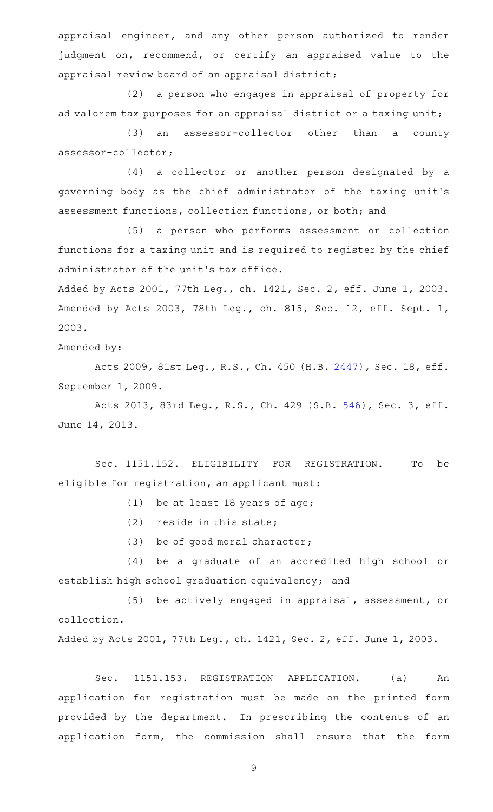appraisal engineer, and any other person authorized to render judgment on, recommend, or certify an appraised value to the appraisal review board of an appraisal district;

(2) a person who engages in appraisal of property for ad valorem tax purposes for an appraisal district or a taxing unit;

(3) an assessor-collector other than a county assessor-collector;

(4) a collector or another person designated by a governing body as the chief administrator of the taxing unit 's assessment functions, collection functions, or both; and

(5) a person who performs assessment or collection functions for a taxing unit and is required to register by the chief administrator of the unit 's tax office.

Added by Acts 2001, 77th Leg., ch. 1421, Sec. 2, eff. June 1, 2003. Amended by Acts 2003, 78th Leg., ch. 815, Sec. 12, eff. Sept. 1, 2003.

Amended by:

Acts 2009, 81st Leg., R.S., Ch. 450 (H.B. [2447\)](http://www.legis.state.tx.us/tlodocs/81R/billtext/html/HB02447F.HTM), Sec. 18, eff. September 1, 2009.

Acts 2013, 83rd Leg., R.S., Ch. 429 (S.B. [546](http://www.legis.state.tx.us/tlodocs/83R/billtext/html/SB00546F.HTM)), Sec. 3, eff. June 14, 2013.

Sec. 1151.152. ELIGIBILITY FOR REGISTRATION. To be eligible for registration, an applicant must:

 $(1)$  be at least 18 years of age;

 $(2)$  reside in this state;

(3) be of good moral character;

(4) be a graduate of an accredited high school or establish high school graduation equivalency; and

(5) be actively engaged in appraisal, assessment, or collection.

Added by Acts 2001, 77th Leg., ch. 1421, Sec. 2, eff. June 1, 2003.

Sec. 1151.153. REGISTRATION APPLICATION. (a) An application for registration must be made on the printed form provided by the department. In prescribing the contents of an application form, the commission shall ensure that the form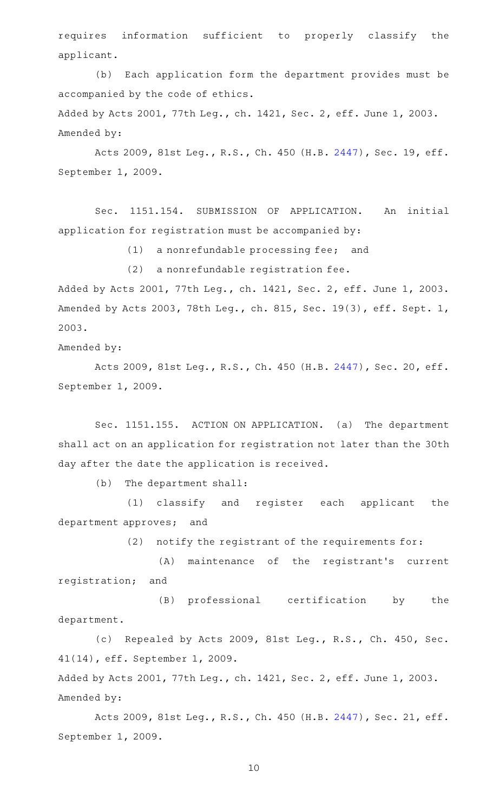requires information sufficient to properly classify the applicant.

(b) Each application form the department provides must be accompanied by the code of ethics.

Added by Acts 2001, 77th Leg., ch. 1421, Sec. 2, eff. June 1, 2003. Amended by:

Acts 2009, 81st Leg., R.S., Ch. 450 (H.B. [2447\)](http://www.legis.state.tx.us/tlodocs/81R/billtext/html/HB02447F.HTM), Sec. 19, eff. September 1, 2009.

Sec. 1151.154. SUBMISSION OF APPLICATION. An initial application for registration must be accompanied by:

 $(1)$  a nonrefundable processing fee; and

 $(2)$  a nonrefundable registration fee.

Added by Acts 2001, 77th Leg., ch. 1421, Sec. 2, eff. June 1, 2003. Amended by Acts 2003, 78th Leg., ch. 815, Sec. 19(3), eff. Sept. 1, 2003.

Amended by:

Acts 2009, 81st Leg., R.S., Ch. 450 (H.B. [2447\)](http://www.legis.state.tx.us/tlodocs/81R/billtext/html/HB02447F.HTM), Sec. 20, eff. September 1, 2009.

Sec. 1151.155. ACTION ON APPLICATION. (a) The department shall act on an application for registration not later than the 30th day after the date the application is received.

(b) The department shall:

(1) classify and register each applicant the department approves; and

(2) notify the registrant of the requirements for:

(A) maintenance of the registrant's current registration; and

(B) professional certification by the department.

(c) Repealed by Acts 2009, 81st Leg., R.S., Ch. 450, Sec. 41(14), eff. September 1, 2009.

Added by Acts 2001, 77th Leg., ch. 1421, Sec. 2, eff. June 1, 2003. Amended by:

Acts 2009, 81st Leg., R.S., Ch. 450 (H.B. [2447\)](http://www.legis.state.tx.us/tlodocs/81R/billtext/html/HB02447F.HTM), Sec. 21, eff. September 1, 2009.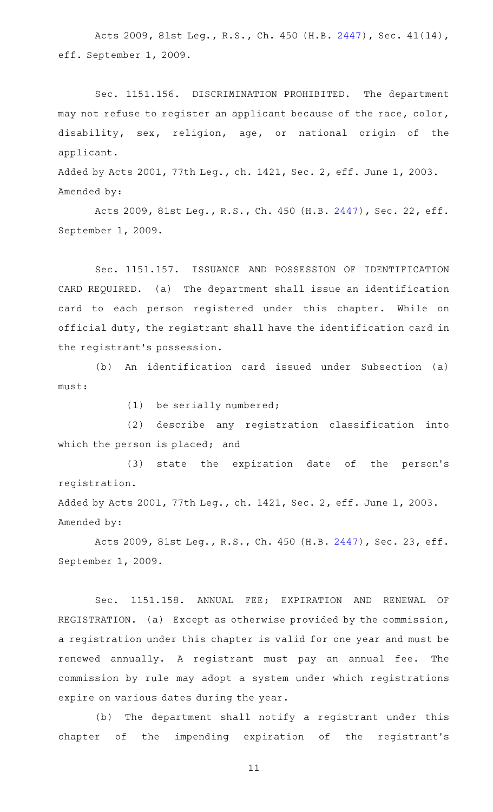Acts 2009, 81st Leg., R.S., Ch. 450 (H.B. [2447\)](http://www.legis.state.tx.us/tlodocs/81R/billtext/html/HB02447F.HTM), Sec. 41(14), eff. September 1, 2009.

Sec. 1151.156. DISCRIMINATION PROHIBITED. The department may not refuse to register an applicant because of the race, color, disability, sex, religion, age, or national origin of the applicant.

Added by Acts 2001, 77th Leg., ch. 1421, Sec. 2, eff. June 1, 2003. Amended by:

Acts 2009, 81st Leg., R.S., Ch. 450 (H.B. [2447\)](http://www.legis.state.tx.us/tlodocs/81R/billtext/html/HB02447F.HTM), Sec. 22, eff. September 1, 2009.

Sec. 1151.157. ISSUANCE AND POSSESSION OF IDENTIFICATION CARD REQUIRED. (a) The department shall issue an identification card to each person registered under this chapter. While on official duty, the registrant shall have the identification card in the registrant 's possession.

(b) An identification card issued under Subsection (a) must:

 $(1)$  be serially numbered;

(2) describe any registration classification into which the person is placed; and

(3) state the expiration date of the person's registration.

Added by Acts 2001, 77th Leg., ch. 1421, Sec. 2, eff. June 1, 2003. Amended by:

Acts 2009, 81st Leg., R.S., Ch. 450 (H.B. [2447\)](http://www.legis.state.tx.us/tlodocs/81R/billtext/html/HB02447F.HTM), Sec. 23, eff. September 1, 2009.

Sec. 1151.158. ANNUAL FEE; EXPIRATION AND RENEWAL OF REGISTRATION. (a) Except as otherwise provided by the commission, a registration under this chapter is valid for one year and must be renewed annually. A registrant must pay an annual fee. The commission by rule may adopt a system under which registrations expire on various dates during the year.

(b) The department shall notify a registrant under this chapter of the impending expiration of the registrant 's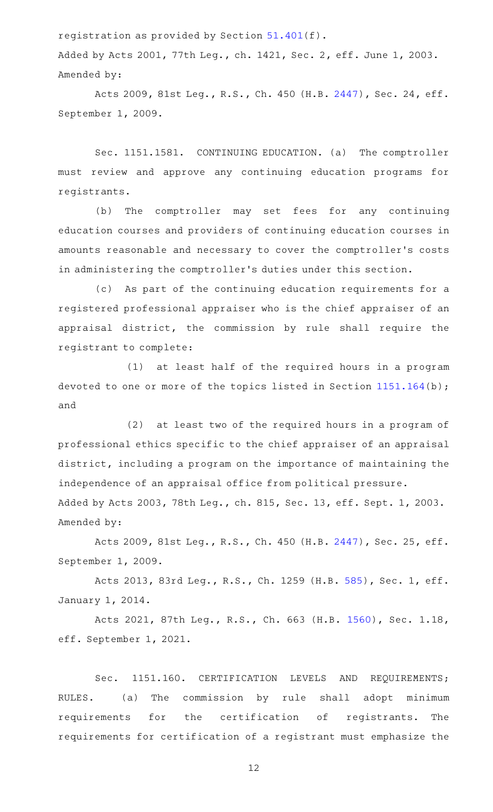registration as provided by Section [51.401](http://www.statutes.legis.state.tx.us/GetStatute.aspx?Code=OC&Value=51.401)(f).

Added by Acts 2001, 77th Leg., ch. 1421, Sec. 2, eff. June 1, 2003. Amended by:

Acts 2009, 81st Leg., R.S., Ch. 450 (H.B. [2447\)](http://www.legis.state.tx.us/tlodocs/81R/billtext/html/HB02447F.HTM), Sec. 24, eff. September 1, 2009.

Sec. 1151.1581. CONTINUING EDUCATION. (a) The comptroller must review and approve any continuing education programs for registrants.

(b) The comptroller may set fees for any continuing education courses and providers of continuing education courses in amounts reasonable and necessary to cover the comptroller 's costs in administering the comptroller 's duties under this section.

(c) As part of the continuing education requirements for a registered professional appraiser who is the chief appraiser of an appraisal district, the commission by rule shall require the registrant to complete:

(1) at least half of the required hours in a program devoted to one or more of the topics listed in Section [1151.164\(](http://www.statutes.legis.state.tx.us/GetStatute.aspx?Code=OC&Value=1151.164)b); and

(2) at least two of the required hours in a program of professional ethics specific to the chief appraiser of an appraisal district, including a program on the importance of maintaining the independence of an appraisal office from political pressure.

Added by Acts 2003, 78th Leg., ch. 815, Sec. 13, eff. Sept. 1, 2003. Amended by:

Acts 2009, 81st Leg., R.S., Ch. 450 (H.B. [2447\)](http://www.legis.state.tx.us/tlodocs/81R/billtext/html/HB02447F.HTM), Sec. 25, eff. September 1, 2009.

Acts 2013, 83rd Leg., R.S., Ch. 1259 (H.B. [585](http://www.legis.state.tx.us/tlodocs/83R/billtext/html/HB00585F.HTM)), Sec. 1, eff. January 1, 2014.

Acts 2021, 87th Leg., R.S., Ch. 663 (H.B. [1560\)](http://www.legis.state.tx.us/tlodocs/87R/billtext/html/HB01560F.HTM), Sec. 1.18, eff. September 1, 2021.

Sec. 1151.160. CERTIFICATION LEVELS AND REQUIREMENTS; RULES. (a) The commission by rule shall adopt minimum requirements for the certification of registrants. The requirements for certification of a registrant must emphasize the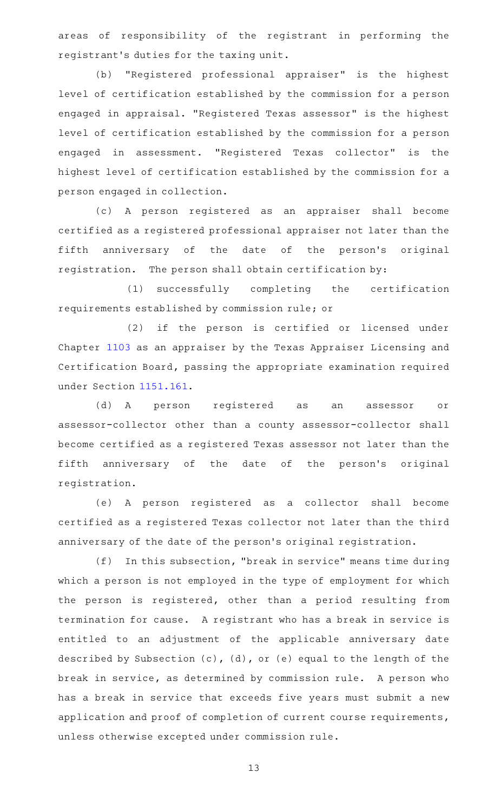areas of responsibility of the registrant in performing the registrant 's duties for the taxing unit.

(b) "Registered professional appraiser" is the highest level of certification established by the commission for a person engaged in appraisal. "Registered Texas assessor" is the highest level of certification established by the commission for a person engaged in assessment. "Registered Texas collector" is the highest level of certification established by the commission for a person engaged in collection.

(c)AAA person registered as an appraiser shall become certified as a registered professional appraiser not later than the fifth anniversary of the date of the person's original registration. The person shall obtain certification by:

(1) successfully completing the certification requirements established by commission rule; or

(2) if the person is certified or licensed under Chapter [1103](http://www.statutes.legis.state.tx.us/GetStatute.aspx?Code=OC&Value=1103) as an appraiser by the Texas Appraiser Licensing and Certification Board, passing the appropriate examination required under Section [1151.161](http://www.statutes.legis.state.tx.us/GetStatute.aspx?Code=OC&Value=1151.161).

(d)AAA person registered as an assessor or assessor-collector other than a county assessor-collector shall become certified as a registered Texas assessor not later than the fifth anniversary of the date of the person's original registration.

(e)AAA person registered as a collector shall become certified as a registered Texas collector not later than the third anniversary of the date of the person 's original registration.

(f) In this subsection, "break in service" means time during which a person is not employed in the type of employment for which the person is registered, other than a period resulting from termination for cause. A registrant who has a break in service is entitled to an adjustment of the applicable anniversary date described by Subsection (c), (d), or (e) equal to the length of the break in service, as determined by commission rule. A person who has a break in service that exceeds five years must submit a new application and proof of completion of current course requirements, unless otherwise excepted under commission rule.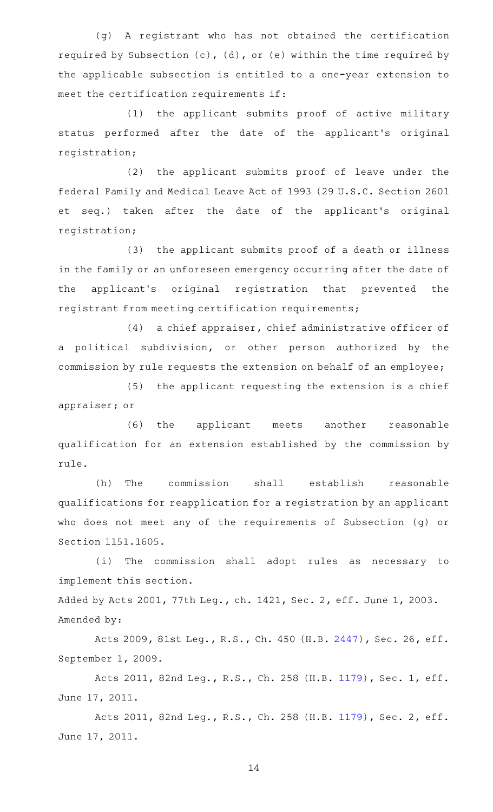(g)AAA registrant who has not obtained the certification required by Subsection (c), (d), or (e) within the time required by the applicable subsection is entitled to a one-year extension to meet the certification requirements if:

(1) the applicant submits proof of active military status performed after the date of the applicant 's original registration;

(2) the applicant submits proof of leave under the federal Family and Medical Leave Act of 1993 (29 U.S.C. Section 2601 et seq.) taken after the date of the applicant 's original registration;

(3) the applicant submits proof of a death or illness in the family or an unforeseen emergency occurring after the date of the applicant 's original registration that prevented the registrant from meeting certification requirements;

(4) a chief appraiser, chief administrative officer of a political subdivision, or other person authorized by the commission by rule requests the extension on behalf of an employee;

 $(5)$  the applicant requesting the extension is a chief appraiser; or

(6) the applicant meets another reasonable qualification for an extension established by the commission by rule.

(h) The commission shall establish reasonable qualifications for reapplication for a registration by an applicant who does not meet any of the requirements of Subsection (g) or Section 1151.1605.

(i) The commission shall adopt rules as necessary to implement this section.

Added by Acts 2001, 77th Leg., ch. 1421, Sec. 2, eff. June 1, 2003. Amended by:

Acts 2009, 81st Leg., R.S., Ch. 450 (H.B. [2447\)](http://www.legis.state.tx.us/tlodocs/81R/billtext/html/HB02447F.HTM), Sec. 26, eff. September 1, 2009.

Acts 2011, 82nd Leg., R.S., Ch. 258 (H.B. [1179](http://www.legis.state.tx.us/tlodocs/82R/billtext/html/HB01179F.HTM)), Sec. 1, eff. June 17, 2011.

Acts 2011, 82nd Leg., R.S., Ch. 258 (H.B. [1179](http://www.legis.state.tx.us/tlodocs/82R/billtext/html/HB01179F.HTM)), Sec. 2, eff. June 17, 2011.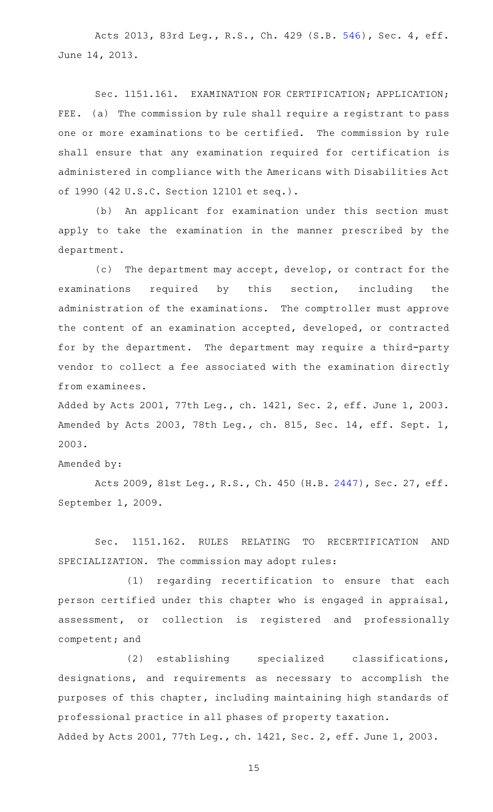Acts 2013, 83rd Leg., R.S., Ch. 429 (S.B. [546](http://www.legis.state.tx.us/tlodocs/83R/billtext/html/SB00546F.HTM)), Sec. 4, eff. June 14, 2013.

Sec. 1151.161. EXAMINATION FOR CERTIFICATION; APPLICATION; FEE. (a) The commission by rule shall require a registrant to pass one or more examinations to be certified. The commission by rule shall ensure that any examination required for certification is administered in compliance with the Americans with Disabilities Act of 1990 (42 U.S.C. Section 12101 et seq.).

(b) An applicant for examination under this section must apply to take the examination in the manner prescribed by the department.

(c) The department may accept, develop, or contract for the examinations required by this section, including the administration of the examinations. The comptroller must approve the content of an examination accepted, developed, or contracted for by the department. The department may require a third-party vendor to collect a fee associated with the examination directly from examinees.

Added by Acts 2001, 77th Leg., ch. 1421, Sec. 2, eff. June 1, 2003. Amended by Acts 2003, 78th Leg., ch. 815, Sec. 14, eff. Sept. 1, 2003.

Amended by:

Acts 2009, 81st Leg., R.S., Ch. 450 (H.B. [2447\)](http://www.legis.state.tx.us/tlodocs/81R/billtext/html/HB02447F.HTM), Sec. 27, eff. September 1, 2009.

Sec. 1151.162. RULES RELATING TO RECERTIFICATION AND SPECIALIZATION. The commission may adopt rules:

 $(1)$  regarding recertification to ensure that each person certified under this chapter who is engaged in appraisal, assessment, or collection is registered and professionally competent; and

(2) establishing specialized classifications, designations, and requirements as necessary to accomplish the purposes of this chapter, including maintaining high standards of professional practice in all phases of property taxation. Added by Acts 2001, 77th Leg., ch. 1421, Sec. 2, eff. June 1, 2003.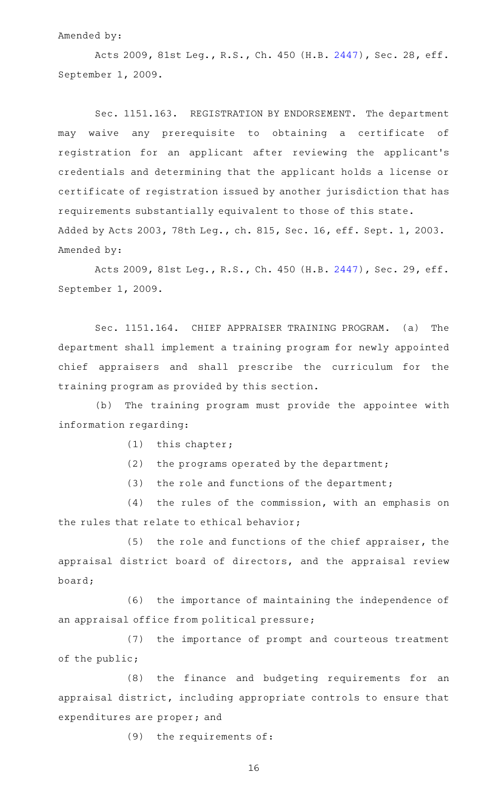#### Amended by:

Acts 2009, 81st Leg., R.S., Ch. 450 (H.B. [2447\)](http://www.legis.state.tx.us/tlodocs/81R/billtext/html/HB02447F.HTM), Sec. 28, eff. September 1, 2009.

Sec. 1151.163. REGISTRATION BY ENDORSEMENT. The department may waive any prerequisite to obtaining a certificate of registration for an applicant after reviewing the applicant 's credentials and determining that the applicant holds a license or certificate of registration issued by another jurisdiction that has requirements substantially equivalent to those of this state. Added by Acts 2003, 78th Leg., ch. 815, Sec. 16, eff. Sept. 1, 2003. Amended by:

Acts 2009, 81st Leg., R.S., Ch. 450 (H.B. [2447\)](http://www.legis.state.tx.us/tlodocs/81R/billtext/html/HB02447F.HTM), Sec. 29, eff. September 1, 2009.

Sec. 1151.164. CHIEF APPRAISER TRAINING PROGRAM. (a) The department shall implement a training program for newly appointed chief appraisers and shall prescribe the curriculum for the training program as provided by this section.

(b) The training program must provide the appointee with information regarding:

- $(1)$  this chapter;
- (2) the programs operated by the department;
- (3) the role and functions of the department;

(4) the rules of the commission, with an emphasis on the rules that relate to ethical behavior;

 $(5)$  the role and functions of the chief appraiser, the appraisal district board of directors, and the appraisal review board;

(6) the importance of maintaining the independence of an appraisal office from political pressure;

(7) the importance of prompt and courteous treatment of the public;

(8) the finance and budgeting requirements for an appraisal district, including appropriate controls to ensure that expenditures are proper; and

(9) the requirements of: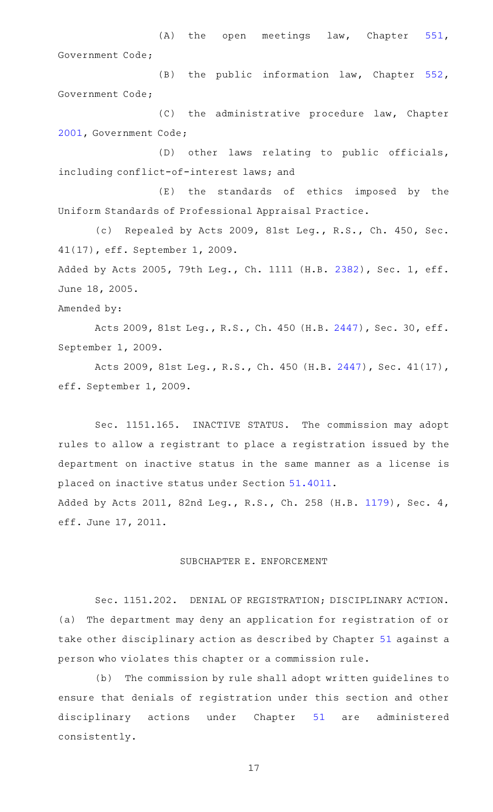$(A)$  the open meetings law, Chapter [551](http://www.statutes.legis.state.tx.us/GetStatute.aspx?Code=GV&Value=551), Government Code;

 $(B)$  the public information law, Chapter [552](http://www.statutes.legis.state.tx.us/GetStatute.aspx?Code=GV&Value=552), Government Code;

 $(C)$  the administrative procedure law, Chapter [2001](http://www.statutes.legis.state.tx.us/GetStatute.aspx?Code=GV&Value=2001), Government Code;

(D) other laws relating to public officials, including conflict-of-interest laws; and

(E) the standards of ethics imposed by the Uniform Standards of Professional Appraisal Practice.

(c) Repealed by Acts 2009, 81st Leg., R.S., Ch. 450, Sec. 41(17), eff. September 1, 2009.

Added by Acts 2005, 79th Leg., Ch. 1111 (H.B. [2382\)](http://www.legis.state.tx.us/tlodocs/79R/billtext/html/HB02382F.HTM), Sec. 1, eff. June 18, 2005.

Amended by:

Acts 2009, 81st Leg., R.S., Ch. 450 (H.B. [2447\)](http://www.legis.state.tx.us/tlodocs/81R/billtext/html/HB02447F.HTM), Sec. 30, eff. September 1, 2009.

Acts 2009, 81st Leg., R.S., Ch. 450 (H.B. [2447\)](http://www.legis.state.tx.us/tlodocs/81R/billtext/html/HB02447F.HTM), Sec. 41(17), eff. September 1, 2009.

Sec. 1151.165. INACTIVE STATUS. The commission may adopt rules to allow a registrant to place a registration issued by the department on inactive status in the same manner as a license is placed on inactive status under Section [51.4011.](http://www.statutes.legis.state.tx.us/GetStatute.aspx?Code=OC&Value=51.4011) Added by Acts 2011, 82nd Leg., R.S., Ch. 258 (H.B. [1179](http://www.legis.state.tx.us/tlodocs/82R/billtext/html/HB01179F.HTM)), Sec. 4,

eff. June 17, 2011.

### SUBCHAPTER E. ENFORCEMENT

Sec. 1151.202. DENIAL OF REGISTRATION; DISCIPLINARY ACTION. (a) The department may deny an application for registration of or take other disciplinary action as described by Chapter [51](http://www.statutes.legis.state.tx.us/GetStatute.aspx?Code=OC&Value=51) against a person who violates this chapter or a commission rule.

(b) The commission by rule shall adopt written guidelines to ensure that denials of registration under this section and other disciplinary actions under Chapter [51](http://www.statutes.legis.state.tx.us/GetStatute.aspx?Code=OC&Value=51) are administered consistently.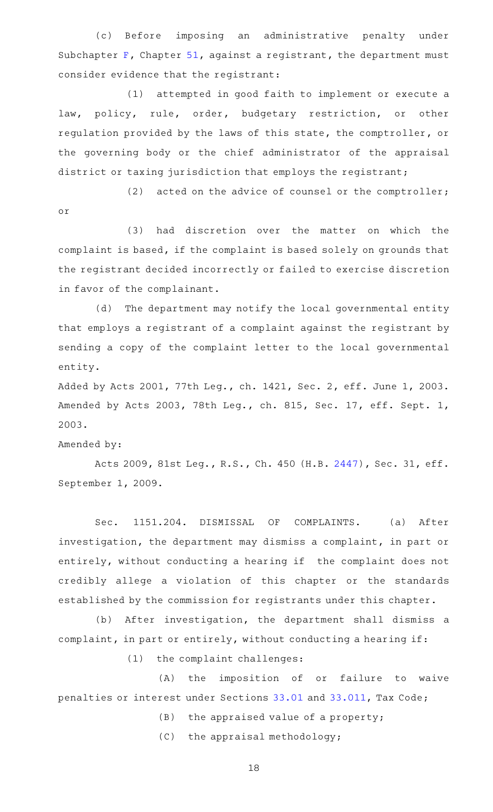(c) Before imposing an administrative penalty under Subchapter [F](http://www.statutes.legis.state.tx.us/GetStatute.aspx?Code=OC&Value=51.301), Chapter [51,](http://www.statutes.legis.state.tx.us/GetStatute.aspx?Code=OC&Value=51) against a registrant, the department must consider evidence that the registrant:

(1) attempted in good faith to implement or execute a law, policy, rule, order, budgetary restriction, or other regulation provided by the laws of this state, the comptroller, or the governing body or the chief administrator of the appraisal district or taxing jurisdiction that employs the registrant;

(2) acted on the advice of counsel or the comptroller; or

(3) had discretion over the matter on which the complaint is based, if the complaint is based solely on grounds that the registrant decided incorrectly or failed to exercise discretion in favor of the complainant.

(d) The department may notify the local governmental entity that employs a registrant of a complaint against the registrant by sending a copy of the complaint letter to the local governmental entity.

Added by Acts 2001, 77th Leg., ch. 1421, Sec. 2, eff. June 1, 2003. Amended by Acts 2003, 78th Leg., ch. 815, Sec. 17, eff. Sept. 1, 2003.

Amended by:

Acts 2009, 81st Leg., R.S., Ch. 450 (H.B. [2447\)](http://www.legis.state.tx.us/tlodocs/81R/billtext/html/HB02447F.HTM), Sec. 31, eff. September 1, 2009.

Sec. 1151.204. DISMISSAL OF COMPLAINTS. (a) After investigation, the department may dismiss a complaint, in part or entirely, without conducting a hearing if the complaint does not credibly allege a violation of this chapter or the standards established by the commission for registrants under this chapter.

(b) After investigation, the department shall dismiss a complaint, in part or entirely, without conducting a hearing if:

(1) the complaint challenges:

(A) the imposition of or failure to waive penalties or interest under Sections [33.01](http://www.statutes.legis.state.tx.us/GetStatute.aspx?Code=TX&Value=33.01) and [33.011](http://www.statutes.legis.state.tx.us/GetStatute.aspx?Code=TX&Value=33.011), Tax Code;

 $(B)$  the appraised value of a property;

 $(C)$  the appraisal methodology;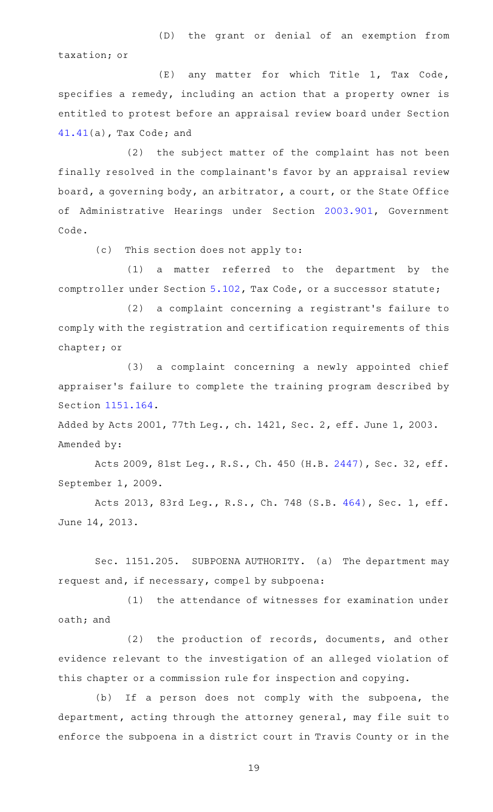(D) the grant or denial of an exemption from taxation; or

(E) any matter for which Title 1, Tax Code, specifies a remedy, including an action that a property owner is entitled to protest before an appraisal review board under Section [41.41\(](http://www.statutes.legis.state.tx.us/GetStatute.aspx?Code=TX&Value=41.41)a), Tax Code; and

(2) the subject matter of the complaint has not been finally resolved in the complainant 's favor by an appraisal review board, a governing body, an arbitrator, a court, or the State Office of Administrative Hearings under Section [2003.901](http://www.statutes.legis.state.tx.us/GetStatute.aspx?Code=GV&Value=2003.901), Government Code.

(c) This section does not apply to:

 $(1)$  a matter referred to the department by the comptroller under Section [5.102](http://www.statutes.legis.state.tx.us/GetStatute.aspx?Code=TX&Value=5.102), Tax Code, or a successor statute;

(2) a complaint concerning a registrant's failure to comply with the registration and certification requirements of this chapter; or

(3) a complaint concerning a newly appointed chief appraiser 's failure to complete the training program described by Section [1151.164](http://www.statutes.legis.state.tx.us/GetStatute.aspx?Code=OC&Value=1151.164).

Added by Acts 2001, 77th Leg., ch. 1421, Sec. 2, eff. June 1, 2003. Amended by:

Acts 2009, 81st Leg., R.S., Ch. 450 (H.B. [2447\)](http://www.legis.state.tx.us/tlodocs/81R/billtext/html/HB02447F.HTM), Sec. 32, eff. September 1, 2009.

Acts 2013, 83rd Leg., R.S., Ch. 748 (S.B. [464](http://www.legis.state.tx.us/tlodocs/83R/billtext/html/SB00464F.HTM)), Sec. 1, eff. June 14, 2013.

Sec. 1151.205. SUBPOENA AUTHORITY. (a) The department may request and, if necessary, compel by subpoena:

(1) the attendance of witnesses for examination under oath; and

(2) the production of records, documents, and other evidence relevant to the investigation of an alleged violation of this chapter or a commission rule for inspection and copying.

(b) If a person does not comply with the subpoena, the department, acting through the attorney general, may file suit to enforce the subpoena in a district court in Travis County or in the